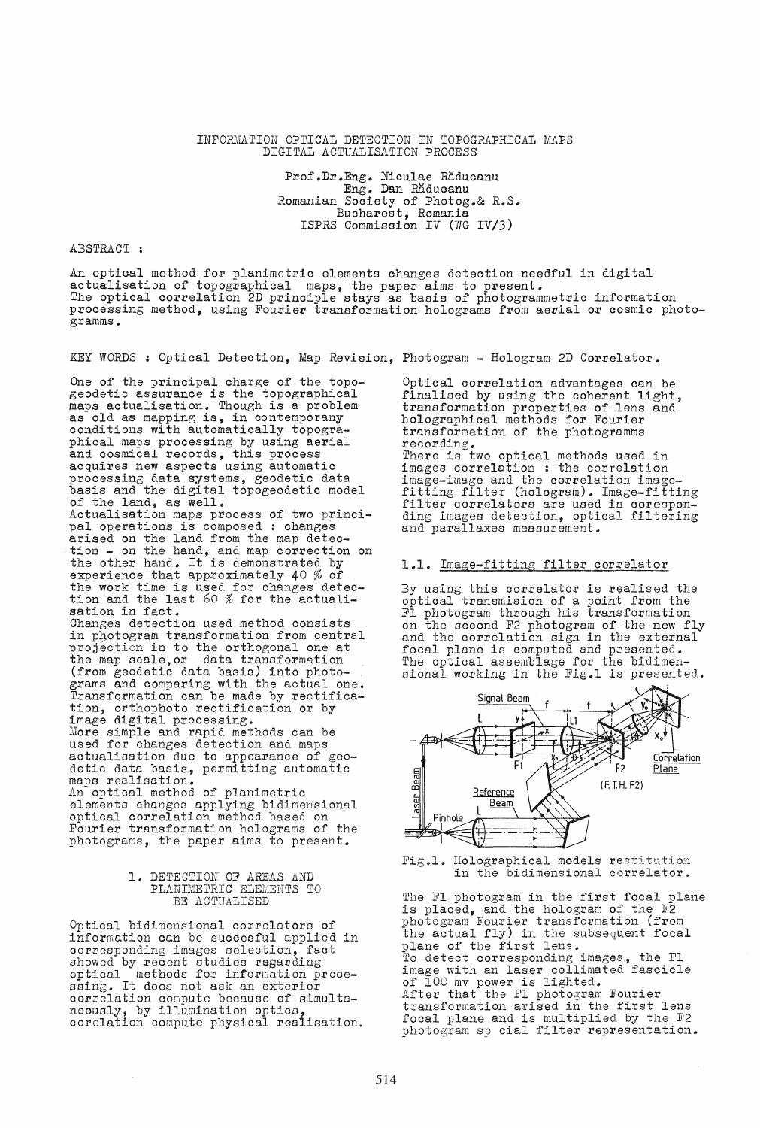### INFORMATION OPTICAL DETECTION IN TOPOGRAPHICAL MAPS DIGITAL ACTUALISATION PROCESS

Prof.Dr.Eng. Niculae Răducanu Eng. Dan Răducanu Romanian Society of Photog.& R.S. Bucharest, Romania ISPRS Commission IV (WG IV/J)

## ABSTRACT :

An optical method for planimetric elements changes detection needful in digital actualisation of topographical maps, the paper aims to present. The optical correlation 2D principle stays as basis of photogrammetric information processing method, using Fourier transformation holograms from aerial or cosmic photogramms.

KEY WORDS: Optical Detection, Map Revision, Photogram - Hologram 2D Correlator.

One of the principal charge of the topo-geodetic assurance is the topographical maps actualisation. Though is a problem as old as mapping is, in contemporany conditions with automatically topographical maps processing by using aerial and cosmical records, this process acquires new aspects using automatic processing data systems, geodetic data basis and the digital topogeodetic model of the land, as well. Actualisation maps process of two principal operations is composed : changes arised on the land from the map detection - on the hand, and map correction on the other hand. It is demonstrated by experience that approximately 40 % of the work time is used for changes detection and the last 60 % for the actualisation in fact.<br>Changes detection used method consists in photogram transformation from central projection in to the orthogonal one at the map scale,or data transformation (from geodetic data basis) into photograms and comparing with the actual one. Transformation can be made by rectification, orthophoto rectification or by image digital processing. More simple and rapid methods can be used for changes detection and maps actualisation due to appearance of geodetic data basis, permitting automatic maps realisation. An optical method of planimetric elements changes applying bidimensional optical correlation method based on Fourier transformation holograms of the photograms, the paper aims to present.

# 1. DETECTION OF AREAS AND PLANIMETRIC ELEMENTS TO BE ACTUALISED

Optical bidimensional correlators of information can be succesful applied in corresponding images selection, fact showed by recent studies regarding optical methods for information proce-ssing. It does not ask an exterior correlation compute because of simultaneously, by illumination optics, corelation compute physical realisation. Optical correlation advantages can be finalised by using the coherent light, transformation properties of lens and holographical methods for Fourier transformation of the photogramms<br>recording. There is two optical methods used in images correlation : the correlation image-image and the correlation image- fitting filter (hologram). Image-fitting filter correlators are used in corespon- ding images detection, optical filtering

### 1.1. Image-fitting filter correlator

and parallaxes measurement.

By using this correlator is realised the optical transmision of a point from the Fl photogram through his transformation on the second F2 photogram of the new fly and the correlation sign in the external focal plane is computed and presented. The optical assemblage for the bidimen-<br>sional working in the Fig.1 is presented.



Fig.l. Holographical models restitution in the bidimensional correlator.

The F1 photogram in the first focal plane is placed, and the hologram of the F2 photogram Fourier transformation (from the actual fly) in the subsequent focal plane of the first lens. To detect corresponding images, the FI image with an laser collimated fascicle of 100 mv power is lighted. After that the Fl photogram Fourier transformation arised in the first lens focal plane and is multiplied by the F2 photogram sp cial filter representation.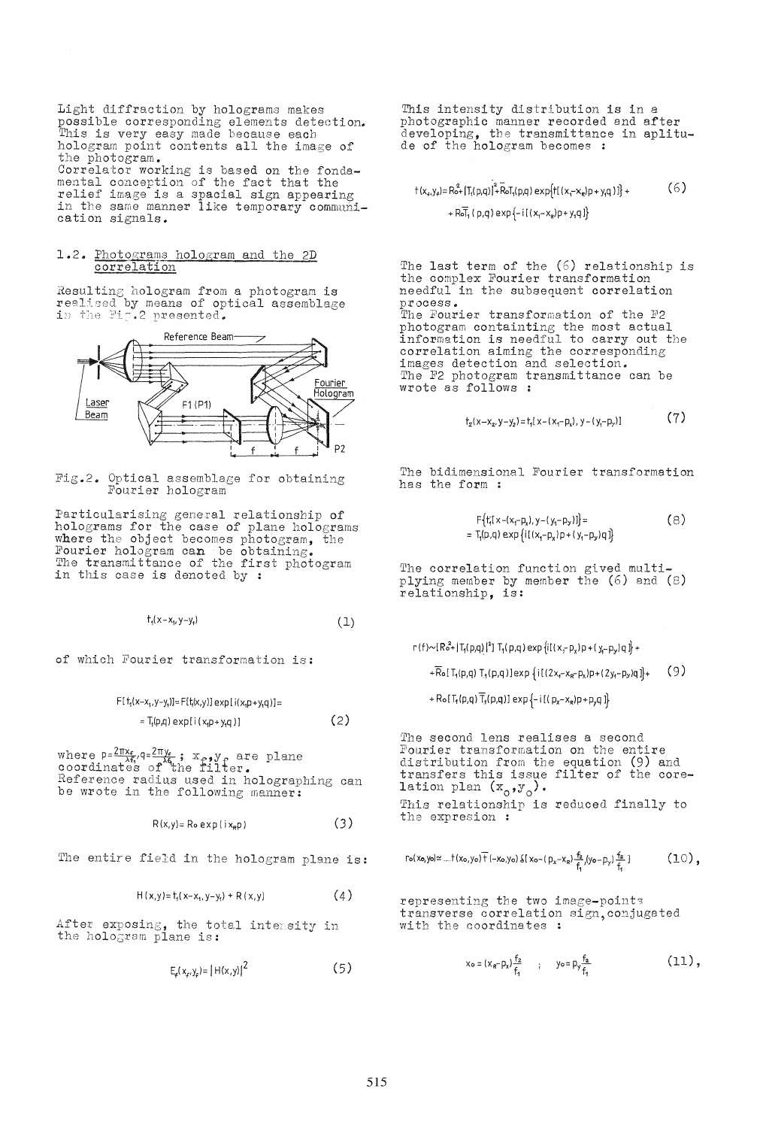Light diffraction by holograms makes possible corresponding elements detection.<br>This is very easy made because each<br>hologram point contents all the image of the photogram. Correlator working is based on the fonda-<br>mental conception of the fact that the<br>relief image is a spacial sign appearing in the same manner like temporary communication signals.

# 1.2. Photograms hologram and the 2D correlation

Resulting hologram from a photogram is<br>realised by means of optical assemblage<br>in the Fig.2 presented.



Fig.2. Optical assemblage for obtaining Fourier hologram

Particularising general relationship of<br>holograms for the case of plane holograms<br>where the object becomes photogram, the Fourier hologram can be obtaining.<br>The transmittance of the first photogram in this case is denoted by :

$$
t_1(x-x_1, y-y_1) \tag{1}
$$

of which Fourier transformation is:

 $F[t_1(x-x_1,y-y_1)]=F[t_1(x,y)]exp[i(x_1p+y_1q)]$ =  $(2)$  $=T_1(p,q) exp[i(x_1p+y_1q)]$ 

where  $p = \frac{2\pi x_f}{\lambda f_i}$ ,  $q = \frac{2\pi y_f}{\lambda f_i}$ ,  $x_p$ ,  $y_f$  are plane coordinates of the filter. Reference radius used in holographing can be wrote in the following manner:

> $(3)$  $R(x,y) = R_0 exp(i x_R p)$

The entire field in the hologram plane is:

 $(4)$  $H(x,y) = t_1(x-x_1, y-y_1) + R(x,y)$ 

After exposing, the total intensity in the hologram plane is:

 $E_e(x_e, y_e) = |H(x, y)|^2$  $(5)$ 

This intensity distribution is in a photographic manner recorded and after developing, the transmittance in aplitu-<br>de of the hologram becomes :

$$
t(x_{r}, y_{r}) = R_{0}^{2} + [T_{1}(p, q)]^{2} + \overline{R}_{0}T_{1}(p, q) \exp\{t[(x_{r} - x_{r})p + y_{r}q)]\} + \qquad (6)
$$
  
+ 
$$
R_{0}T_{1}(p, q) \exp\{-i[(x_{r} - x_{r})p + y_{r}q]\}
$$

The last term of the (6) relationship is the complex Fourier transformation needful in the subsequent correlation process.<br>The Fourier transformation of the F2 photogram containting the most actual<br>information is needful to carry out the correlation aiming the corresponding images detection and selection.<br>The F2 photogram transmittance can be wrote as follows :

$$
t_2(x-x_2,y-y_2)=t_1[x-(x_1-p_x),y-(y_1-p_y)]
$$
 (7)

The bidimensional Fourier transformation has the form:

$$
F\{t_{i}^{T}(x-(x_{i}-p_{x}),y-(y_{i}-p_{y}))\} = \t{(8)}
$$
  
= T\_{i}(p,q) exp{i[(x\_{i}-p\_{x})p+(y\_{i}-p\_{y})q]}

The correlation function gived multi-<br>plying member by member the (6) and (8)<br>relationship, is:

 $r(f) \sim [R_0^2 + |T_1(p,q)|^2]$   $T_1(p,q)$  exp  $\{i[(x,-p_x)p + (y,-p_y)q]\}$  +

 $(9)$  $+\overline{R}_{0}[\,T_{1}(p,q)\,T_{1}(p,q)]exp\{i[(2x_{1}-x_{R}-p_{x})p+(2y_{1}-p_{y})q]\}+$ 

+ Ro[T<sub>1</sub>(p,q) $\overline{T}_3(p,q)$ ] exp $\{-i[(p_x-x_g)p+p_yq]\}$ 

The second lens realises a second Fourier transformation on the entire distribution from the equation (9) and transfers this issue filter of the core-<br>lation plan  $(x_o,y_o)$ . This relationship is reduced finally to the expresion:

$$
\Gamma \circ (x_0, y_0) \simeq ... \dagger (x_0, y_0) \overline{\dagger} \, (-x_0, y_0) \, \S \, [ \, x_0 - ( \, p_x - x_R) \, \frac{f_2}{f_1} \, / y_0 - p_y) \, \frac{f_2}{f_1} \, ] \qquad \qquad \left( \begin{smallmatrix} 1 & 0 \\ 0 & 1 \end{smallmatrix} \right) \,,
$$

representing the two image-points transverse correlation sign, conjugated with the coordinates :

> $x_0 = (x_0 - p_x) \frac{f_2}{f_1}$  ;  $y_0 = p_y \frac{f_2}{f_1}$  $(11),$